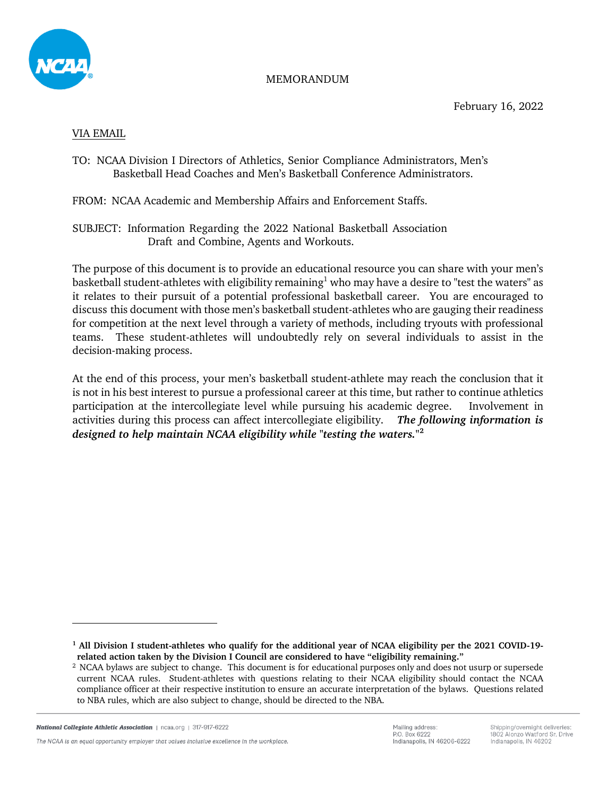

#### MEMORANDUM

#### VIA EMAIL

## TO: NCAA Division I Directors of Athletics, Senior Compliance Administrators, Men's Basketball Head Coaches and Men's Basketball Conference Administrators.

FROM: NCAA Academic and Membership Affairs and Enforcement Staffs.

SUBJECT: Information Regarding the 2022 National Basketball Association Draft and Combine, Agents and Workouts.

The purpose of this document is to provide an educational resource you can share with your men's basketball student-athletes with eligibility remaining<sup>1</sup> who may have a desire to "test the waters" as it relates to their pursuit of a potential professional basketball career. You are encouraged to discuss this document with those men's basketball student-athletes who are gauging their readiness for competition at the next level through a variety of methods, including tryouts with professional teams. These student-athletes will undoubtedly rely on several individuals to assist in the decision-making process.

At the end of this process, your men's basketball student-athlete may reach the conclusion that it is not in his best interest to pursue a professional career at this time, but rather to continue athletics participation at the intercollegiate level while pursuing his academic degree. Involvement in activities during this process can affect intercollegiate eligibility. *The following information is designed to help maintain NCAA eligibility while "testing the waters."* **2**

The NCAA is an equal opportunity employer that values inclusive excellence in the workplace

**<sup>1</sup> All Division I student-athletes who qualify for the additional year of NCAA eligibility per the 2021 COVID-19 related action taken by the Division I Council are considered to have "eligibility remaining."**

<sup>2</sup> NCAA bylaws are subject to change. This document is for educational purposes only and does not usurp or supersede current NCAA rules. Student-athletes with questions relating to their NCAA eligibility should contact the NCAA compliance officer at their respective institution to ensure an accurate interpretation of the bylaws. Questions related to NBA rules, which are also subject to change, should be directed to the NBA.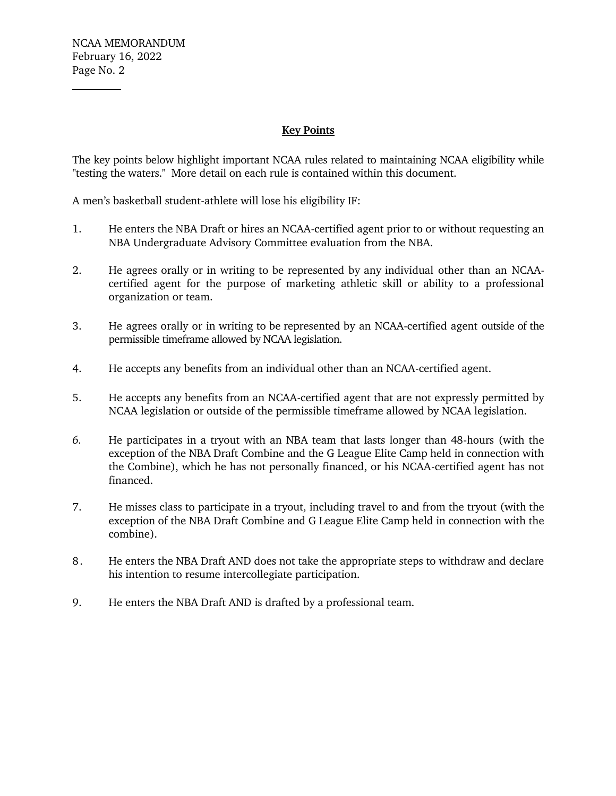## **Key Points**

The key points below highlight important NCAA rules related to maintaining NCAA eligibility while "testing the waters." More detail on each rule is contained within this document.

A men's basketball student-athlete will lose his eligibility IF:

- 1. He enters the NBA Draft or hires an NCAA-certified agent prior to or without requesting an NBA Undergraduate Advisory Committee evaluation from the NBA.
- 2. He agrees orally or in writing to be represented by any individual other than an NCAAcertified agent for the purpose of marketing athletic skill or ability to a professional organization or team.
- 3. He agrees orally or in writing to be represented by an NCAA-certified agent outside of the permissible timeframe allowed by NCAA legislation.
- 4. He accepts any benefits from an individual other than an NCAA-certified agent.
- 5. He accepts any benefits from an NCAA-certified agent that are not expressly permitted by NCAA legislation or outside of the permissible timeframe allowed by NCAA legislation.
- *6.* He participates in a tryout with an NBA team that lasts longer than 48-hours (with the exception of the NBA Draft Combine and the G League Elite Camp held in connection with the Combine), which he has not personally financed, or his NCAA-certified agent has not financed.
- 7. He misses class to participate in a tryout, including travel to and from the tryout (with the exception of the NBA Draft Combine and G League Elite Camp held in connection with the combine).
- 8. He enters the NBA Draft AND does not take the appropriate steps to withdraw and declare his intention to resume intercollegiate participation.
- 9. He enters the NBA Draft AND is drafted by a professional team.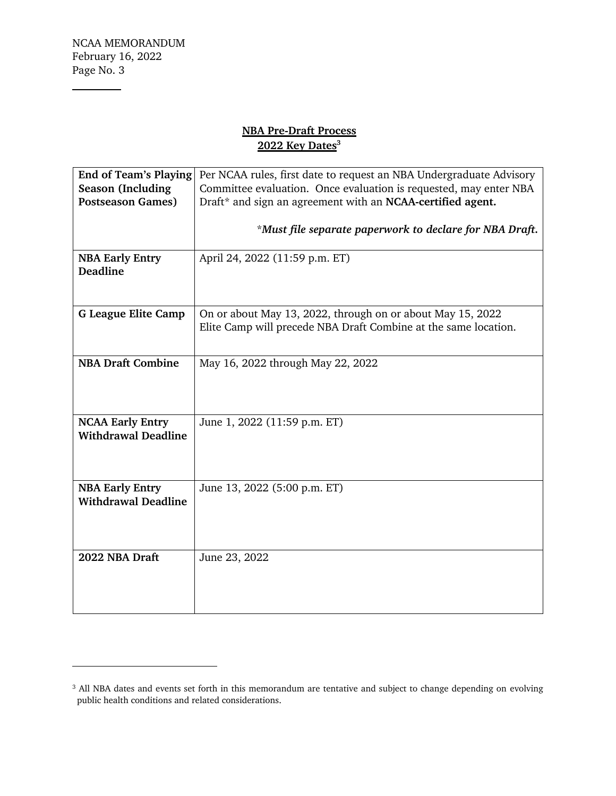**Contract Contract Contract** 

# **NBA Pre-Draft Process 2022 Key Dates 3**

| <b>End of Team's Playing</b> | Per NCAA rules, first date to request an NBA Undergraduate Advisory |
|------------------------------|---------------------------------------------------------------------|
| <b>Season</b> (Including     | Committee evaluation. Once evaluation is requested, may enter NBA   |
| <b>Postseason Games)</b>     | Draft* and sign an agreement with an NCAA-certified agent.          |
|                              |                                                                     |
|                              | *Must file separate paperwork to declare for NBA Draft.             |
|                              |                                                                     |
| <b>NBA Early Entry</b>       | April 24, 2022 (11:59 p.m. ET)                                      |
| <b>Deadline</b>              |                                                                     |
|                              |                                                                     |
|                              |                                                                     |
| <b>G League Elite Camp</b>   | On or about May 13, 2022, through on or about May 15, 2022          |
|                              | Elite Camp will precede NBA Draft Combine at the same location.     |
|                              |                                                                     |
| <b>NBA Draft Combine</b>     | May 16, 2022 through May 22, 2022                                   |
|                              |                                                                     |
|                              |                                                                     |
|                              |                                                                     |
|                              |                                                                     |
| <b>NCAA Early Entry</b>      | June 1, 2022 (11:59 p.m. ET)                                        |
| <b>Withdrawal Deadline</b>   |                                                                     |
|                              |                                                                     |
|                              |                                                                     |
| <b>NBA Early Entry</b>       | June 13, 2022 (5:00 p.m. ET)                                        |
| <b>Withdrawal Deadline</b>   |                                                                     |
|                              |                                                                     |
|                              |                                                                     |
|                              |                                                                     |
| 2022 NBA Draft               | June 23, 2022                                                       |
|                              |                                                                     |
|                              |                                                                     |
|                              |                                                                     |
|                              |                                                                     |

<sup>&</sup>lt;sup>3</sup> All NBA dates and events set forth in this memorandum are tentative and subject to change depending on evolving public health conditions and related considerations.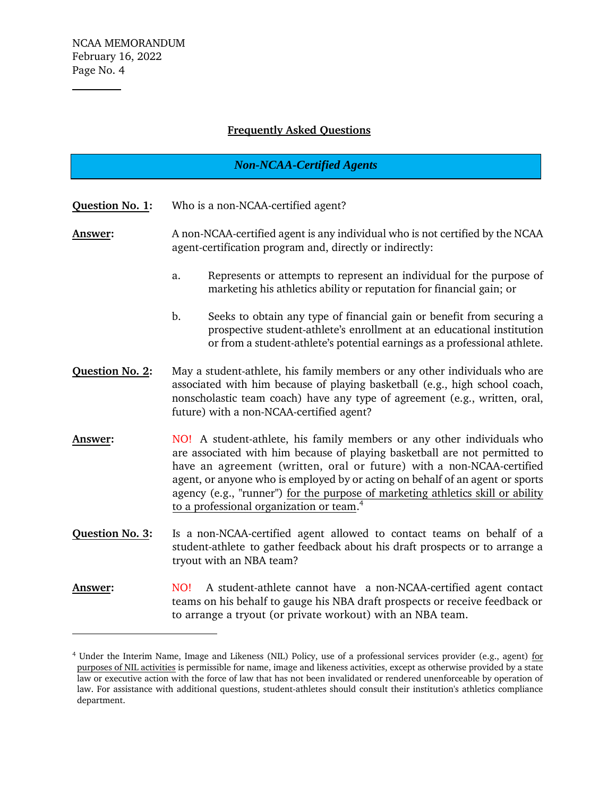## **Frequently Asked Questions**

# *Non-NCAA-Certified Agents*

**Question No. 1:** Who is a non-NCAA-certified agent?

**Answer:** A non-NCAA-certified agent is any individual who is not certified by the NCAA agent-certification program and, directly or indirectly:

- a. Represents or attempts to represent an individual for the purpose of marketing his athletics ability or reputation for financial gain; or
- b. Seeks to obtain any type of financial gain or benefit from securing a prospective student-athlete's enrollment at an educational institution or from a student-athlete's potential earnings as a professional athlete.
- **Question No. 2:** May a student-athlete, his family members or any other individuals who are associated with him because of playing basketball (e.g., high school coach, nonscholastic team coach) have any type of agreement (e.g., written, oral, future) with a non-NCAA-certified agent?
- **Answer:** NO! A student-athlete, his family members or any other individuals who are associated with him because of playing basketball are not permitted to have an agreement (written, oral or future) with a non-NCAA-certified agent, or anyone who is employed by or acting on behalf of an agent or sports agency (e.g., "runner") for the purpose of marketing athletics skill or ability to a professional organization or team. 4
- **Question No. 3:** Is a non-NCAA-certified agent allowed to contact teams on behalf of a student-athlete to gather feedback about his draft prospects or to arrange a tryout with an NBA team?
- **Answer:** NO! A student-athlete cannot have a non-NCAA-certified agent contact teams on his behalf to gauge his NBA draft prospects or receive feedback or to arrange a tryout (or private workout) with an NBA team.

<sup>4</sup> Under the Interim Name, Image and Likeness (NIL) Policy, use of a professional services provider (e.g., agent) for purposes of NIL activities is permissible for name, image and likeness activities, except as otherwise provided by a state law or executive action with the force of law that has not been invalidated or rendered unenforceable by operation of law. For assistance with additional questions, student-athletes should consult their institution's athletics compliance department.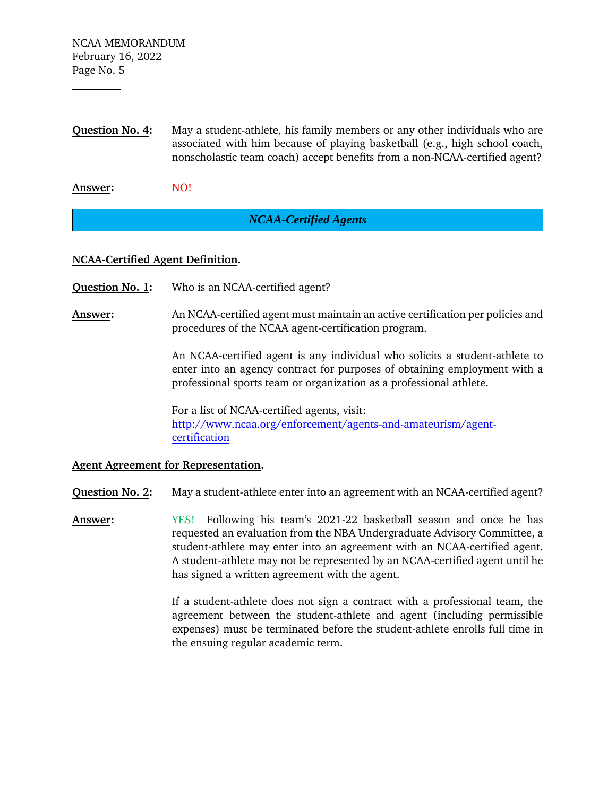**Question No. 4:** May a student-athlete, his family members or any other individuals who are associated with him because of playing basketball (e.g., high school coach, nonscholastic team coach) accept benefits from a non-NCAA-certified agent?

Answer: NO!

# *NCAA-Certified Agents*

## **NCAA-Certified Agent Definition.**

- **Question No. 1:** Who is an NCAA-certified agent?
- **Answer:** An NCAA-certified agent must maintain an active certification per policies and procedures of the NCAA agent-certification program.

An NCAA-certified agent is any individual who solicits a student-athlete to enter into an agency contract for purposes of obtaining employment with a professional sports team or organization as a professional athlete.

For a list of NCAA-certified agents, visit: [http://www.ncaa.org/enforcement/agents-and-amateurism/agent](http://www.ncaa.org/enforcement/agents-and-amateurism/agent-certification)[certification](http://www.ncaa.org/enforcement/agents-and-amateurism/agent-certification)

#### **Agent Agreement for Representation.**

**Question No. 2:** May a student-athlete enter into an agreement with an NCAA-certified agent?

**Answer:** YES! Following his team's 2021-22 basketball season and once he has requested an evaluation from the NBA Undergraduate Advisory Committee, a student-athlete may enter into an agreement with an NCAA-certified agent. A student-athlete may not be represented by an NCAA-certified agent until he has signed a written agreement with the agent.

> If a student-athlete does not sign a contract with a professional team, the agreement between the student-athlete and agent (including permissible expenses) must be terminated before the student-athlete enrolls full time in the ensuing regular academic term.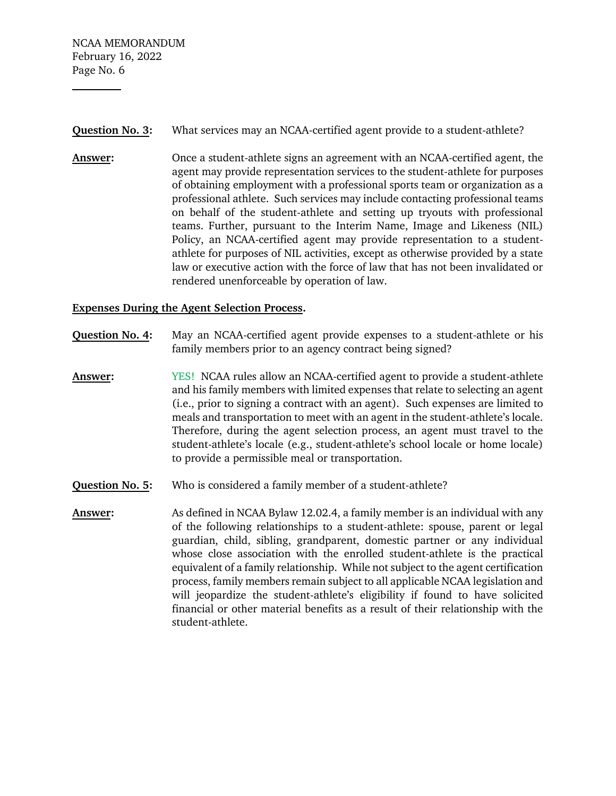NCAA MEMORANDUM February 16, 2022 Page No. 6

#### **Question No. 3:** What services may an NCAA-certified agent provide to a student-athlete?

**Answer:** Once a student-athlete signs an agreement with an NCAA-certified agent, the agent may provide representation services to the student-athlete for purposes of obtaining employment with a professional sports team or organization as a professional athlete. Such services may include contacting professional teams on behalf of the student-athlete and setting up tryouts with professional teams. Further, pursuant to the Interim Name, Image and Likeness (NIL) Policy, an NCAA-certified agent may provide representation to a studentathlete for purposes of NIL activities, except as otherwise provided by a state law or executive action with the force of law that has not been invalidated or rendered unenforceable by operation of law.

## **Expenses During the Agent Selection Process.**

- **Question No. 4:** May an NCAA-certified agent provide expenses to a student-athlete or his family members prior to an agency contract being signed?
- **Answer:** YES! NCAA rules allow an NCAA-certified agent to provide a student-athlete and his family members with limited expenses that relate to selecting an agent (i.e., prior to signing a contract with an agent). Such expenses are limited to meals and transportation to meet with an agent in the student-athlete's locale. Therefore, during the agent selection process, an agent must travel to the student-athlete's locale (e.g., student-athlete's school locale or home locale) to provide a permissible meal or transportation.
- **Question No. 5:** Who is considered a family member of a student-athlete?
- **Answer:** As defined in NCAA Bylaw 12.02.4, a family member is an individual with any of the following relationships to a student-athlete: spouse, parent or legal guardian, child, sibling, grandparent, domestic partner or any individual whose close association with the enrolled student-athlete is the practical equivalent of a family relationship. While not subject to the agent certification process, family members remain subject to all applicable NCAA legislation and will jeopardize the student-athlete's eligibility if found to have solicited financial or other material benefits as a result of their relationship with the student-athlete.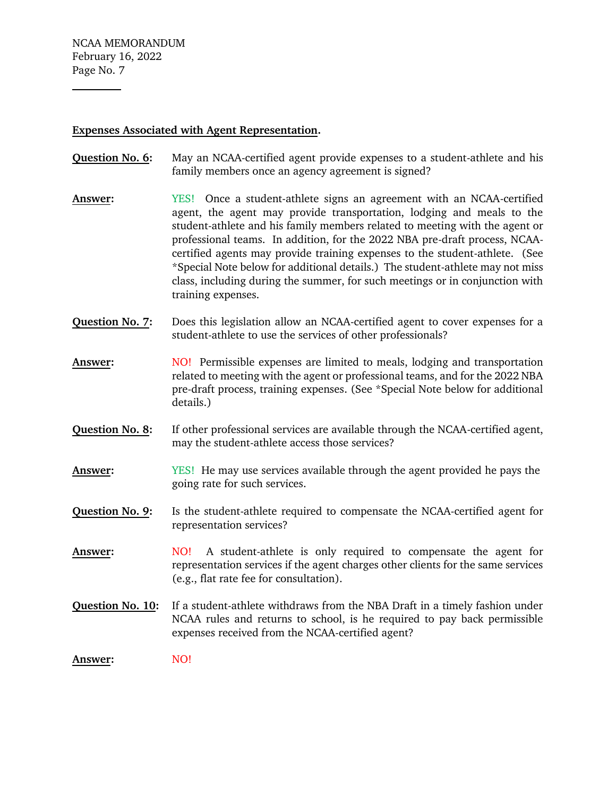#### **Expenses Associated with Agent Representation.**

- **Question No. 6:** May an NCAA-certified agent provide expenses to a student-athlete and his family members once an agency agreement is signed?
- **Answer:** YES! Once a student-athlete signs an agreement with an NCAA-certified agent, the agent may provide transportation, lodging and meals to the student-athlete and his family members related to meeting with the agent or professional teams. In addition, for the 2022 NBA pre-draft process, NCAAcertified agents may provide training expenses to the student-athlete. (See \*Special Note below for additional details.) The student-athlete may not miss class, including during the summer, for such meetings or in conjunction with training expenses.
- **Question No. 7:** Does this legislation allow an NCAA-certified agent to cover expenses for a student-athlete to use the services of other professionals?
- **Answer:** NO! Permissible expenses are limited to meals, lodging and transportation related to meeting with the agent or professional teams, and for the 2022 NBA pre-draft process, training expenses. (See \*Special Note below for additional details.)
- **Question No. 8:** If other professional services are available through the NCAA-certified agent, may the student-athlete access those services?
- **Answer:** YES! He may use services available through the agent provided he pays the going rate for such services.
- **Question No. 9:** Is the student-athlete required to compensate the NCAA-certified agent for representation services?
- **Answer:** NO! A student-athlete is only required to compensate the agent for representation services if the agent charges other clients for the same services (e.g., flat rate fee for consultation).
- **Question No. 10:** If a student-athlete withdraws from the NBA Draft in a timely fashion under NCAA rules and returns to school, is he required to pay back permissible expenses received from the NCAA-certified agent?

Answer: NO!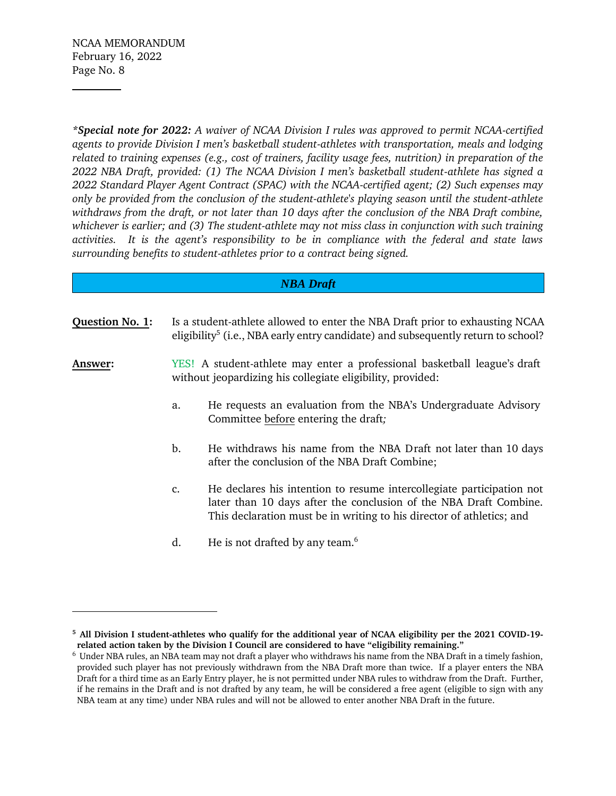*\*Special note for 2022: A waiver of NCAA Division I rules was approved to permit NCAA-certified agents to provide Division I men's basketball student-athletes with transportation, meals and lodging related to training expenses (e.g., cost of trainers, facility usage fees, nutrition) in preparation of the 2022 NBA Draft, provided: (1) The NCAA Division I men's basketball student-athlete has signed a 2022 Standard Player Agent Contract (SPAC) with the NCAA-certified agent; (2) Such expenses may only be provided from the conclusion of the student-athlete's playing season until the student-athlete withdraws from the draft, or not later than 10 days after the conclusion of the NBA Draft combine, whichever is earlier; and (3) The student-athlete may not miss class in conjunction with such training activities. It is the agent's responsibility to be in compliance with the federal and state laws surrounding benefits to student-athletes prior to a contract being signed.* 

## *NBA Draft*

**Question No. 1:** Is a student-athlete allowed to enter the NBA Draft prior to exhausting NCAA eligibility<sup>5</sup> (i.e., NBA early entry candidate) and subsequently return to school?

**Answer:** YES! A student-athlete may enter a professional basketball league's draft without jeopardizing his collegiate eligibility, provided:

- a. He requests an evaluation from the NBA's Undergraduate Advisory Committee before entering the draft*;*
- b. He withdraws his name from the NBA Draft not later than 10 days after the conclusion of the NBA Draft Combine;
- c. He declares his intention to resume intercollegiate participation not later than 10 days after the conclusion of the NBA Draft Combine. This declaration must be in writing to his director of athletics; and
- d. He is not drafted by any team.<sup>6</sup>

**<sup>5</sup> All Division I student-athletes who qualify for the additional year of NCAA eligibility per the 2021 COVID-19 related action taken by the Division I Council are considered to have "eligibility remaining."**

<sup>6</sup> Under NBA rules, an NBA team may not draft a player who withdraws his name from the NBA Draft in a timely fashion, provided such player has not previously withdrawn from the NBA Draft more than twice. If a player enters the NBA Draft for a third time as an Early Entry player, he is not permitted under NBA rules to withdraw from the Draft. Further, if he remains in the Draft and is not drafted by any team, he will be considered a free agent (eligible to sign with any NBA team at any time) under NBA rules and will not be allowed to enter another NBA Draft in the future.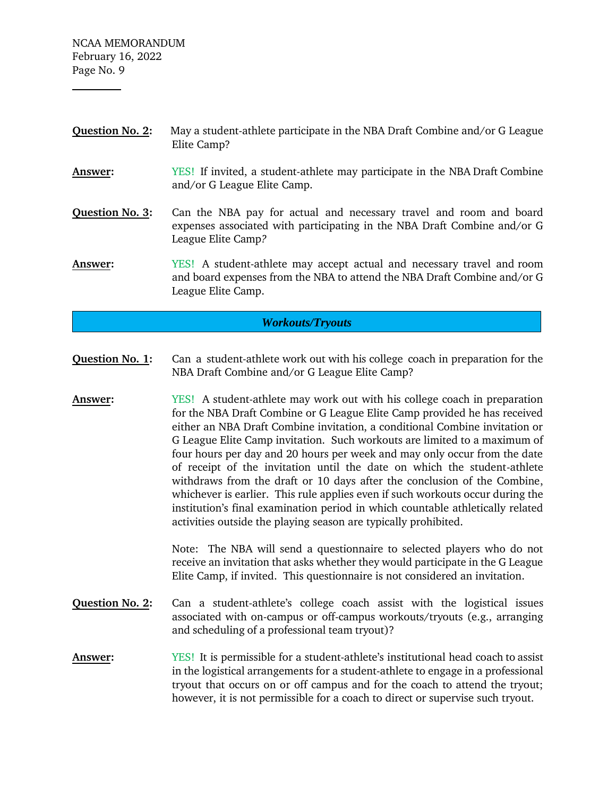NCAA MEMORANDUM February 16, 2022 Page No. 9

- **Question No. 2:** May a student-athlete participate in the NBA Draft Combine and/or G League Elite Camp?
- **Answer:** YES! If invited, a student-athlete may participate in the NBA Draft Combine and/or G League Elite Camp.
- **Question No. 3:** Can the NBA pay for actual and necessary travel and room and board expenses associated with participating in the NBA Draft Combine and/or G League Elite Camp*?*
- **Answer:** YES! A student-athlete may accept actual and necessary travel and room and board expenses from the NBA to attend the NBA Draft Combine and/or G League Elite Camp.

## *Workouts/Tryouts*

- **Question No. 1:** Can a student-athlete work out with his college coach in preparation for the NBA Draft Combine and/or G League Elite Camp?
- **Answer:** YES! A student-athlete may work out with his college coach in preparation for the NBA Draft Combine or G League Elite Camp provided he has received either an NBA Draft Combine invitation, a conditional Combine invitation or G League Elite Camp invitation. Such workouts are limited to a maximum of four hours per day and 20 hours per week and may only occur from the date of receipt of the invitation until the date on which the student-athlete withdraws from the draft or 10 days after the conclusion of the Combine, whichever is earlier. This rule applies even if such workouts occur during the institution's final examination period in which countable athletically related activities outside the playing season are typically prohibited.

Note: The NBA will send a questionnaire to selected players who do not receive an invitation that asks whether they would participate in the G League Elite Camp, if invited. This questionnaire is not considered an invitation.

- **Question No. 2:** Can a student-athlete's college coach assist with the logistical issues associated with on-campus or off-campus workouts/tryouts (e.g., arranging and scheduling of a professional team tryout)?
- **Answer:** YES! It is permissible for a student-athlete's institutional head coach to assist in the logistical arrangements for a student-athlete to engage in a professional tryout that occurs on or off campus and for the coach to attend the tryout; however, it is not permissible for a coach to direct or supervise such tryout.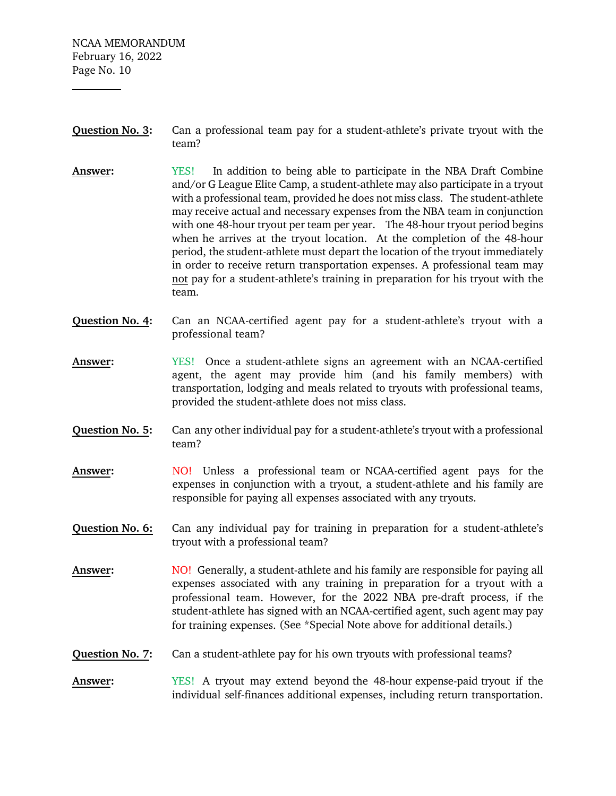NCAA MEMORANDUM February 16, 2022 Page No. 10

- **Question No. 3:** Can a professional team pay for a student-athlete's private tryout with the team?
- **Answer:** YES! In addition to being able to participate in the NBA Draft Combine and/or G League Elite Camp, a student-athlete may also participate in a tryout with a professional team, provided he does not miss class. The student-athlete may receive actual and necessary expenses from the NBA team in conjunction with one 48-hour tryout per team per year. The 48-hour tryout period begins when he arrives at the tryout location. At the completion of the 48-hour period, the student-athlete must depart the location of the tryout immediately in order to receive return transportation expenses. A professional team may not pay for a student-athlete's training in preparation for his tryout with the team.
- **Question No. 4:** Can an NCAA-certified agent pay for a student-athlete's tryout with a professional team?
- **Answer:** YES! Once a student-athlete signs an agreement with an NCAA-certified agent, the agent may provide him (and his family members) with transportation, lodging and meals related to tryouts with professional teams, provided the student-athlete does not miss class.
- **Question No. 5:** Can any other individual pay for a student-athlete's tryout with a professional team?
- **Answer:** NO! Unless a professional team or NCAA-certified agent pays for the expenses in conjunction with a tryout, a student-athlete and his family are responsible for paying all expenses associated with any tryouts.
- **Question No. 6:** Can any individual pay for training in preparation for a student-athlete's tryout with a professional team?
- **Answer:** NO! Generally, a student-athlete and his family are responsible for paying all expenses associated with any training in preparation for a tryout with a professional team. However, for the 2022 NBA pre-draft process, if the student-athlete has signed with an NCAA-certified agent, such agent may pay for training expenses. (See \*Special Note above for additional details.)
- **Question No. 7:** Can a student-athlete pay for his own tryouts with professional teams?
- **Answer:** YES! A tryout may extend beyond the 48-hour expense-paid tryout if the individual self-finances additional expenses, including return transportation.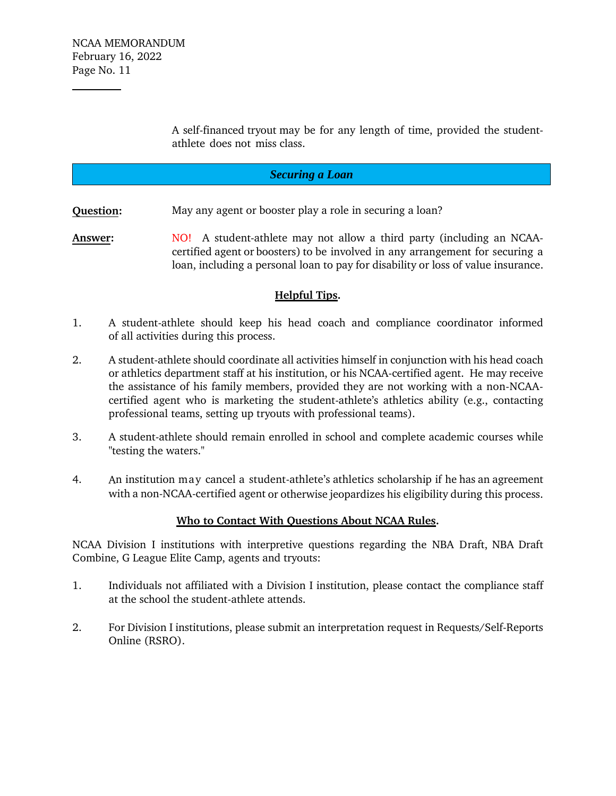A self-financed tryout may be for any length of time, provided the studentathlete does not miss class.

# *Securing a Loan*

**Question:** May any agent or booster play a role in securing a loan?

**Answer:** NO! A student-athlete may not allow a third party (including an NCAAcertified agent or boosters) to be involved in any arrangement for securing a loan, including a personal loan to pay for disability or loss of value insurance.

## **Helpful Tips.**

- 1. A student-athlete should keep his head coach and compliance coordinator informed of all activities during this process.
- 2. A student-athlete should coordinate all activities himself in conjunction with his head coach or athletics department staff at his institution, or his NCAA-certified agent. He may receive the assistance of his family members, provided they are not working with a non-NCAAcertified agent who is marketing the student-athlete's athletics ability (e.g., contacting professional teams, setting up tryouts with professional teams).
- 3. A student-athlete should remain enrolled in school and complete academic courses while "testing the waters."
- 4. An institution may cancel a student-athlete's athletics scholarship if he has an agreement with a non-NCAA-certified agent or otherwise jeopardizes his eligibility during this process.

## **Who to Contact With Questions About NCAA Rules.**

NCAA Division I institutions with interpretive questions regarding the NBA Draft, NBA Draft Combine, G League Elite Camp, agents and tryouts:

- 1. Individuals not affiliated with a Division I institution, please contact the compliance staff at the school the student-athlete attends.
- 2. For Division I institutions, please submit an interpretation request in Requests/Self-Reports Online (RSRO).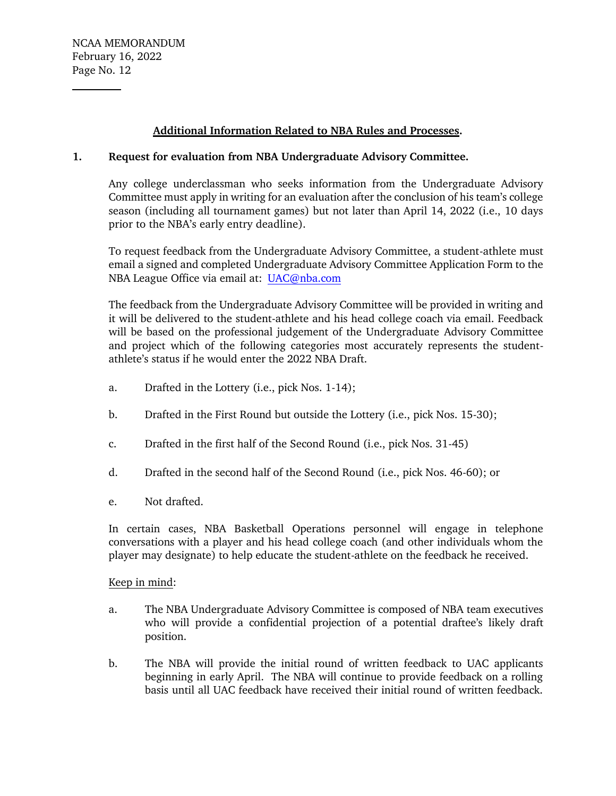## **Additional Information Related to NBA Rules and Processes.**

## **1. Request for evaluation from NBA Undergraduate Advisory Committee.**

Any college underclassman who seeks information from the Undergraduate Advisory Committee must apply in writing for an evaluation after the conclusion of his team's college season (including all tournament games) but not later than April 14, 2022 (i.e., 10 days prior to the NBA's early entry deadline).

To request feedback from the Undergraduate Advisory Committee, a student-athlete must email a signed and completed Undergraduate Advisory Committee Application Form to the NBA League Office via email at: [UAC@nba.com](mailto:UAC@nba.com)

The feedback from the Undergraduate Advisory Committee will be provided in writing and it will be delivered to the student-athlete and his head college coach via email. Feedback will be based on the professional judgement of the Undergraduate Advisory Committee and project which of the following categories most accurately represents the studentathlete's status if he would enter the 2022 NBA Draft.

- a. Drafted in the Lottery (i.e., pick Nos. 1-14);
- b. Drafted in the First Round but outside the Lottery (i.e., pick Nos. 15-30);
- c. Drafted in the first half of the Second Round (i.e., pick Nos. 31-45)
- d. Drafted in the second half of the Second Round (i.e., pick Nos. 46-60); or
- e. Not drafted.

In certain cases, NBA Basketball Operations personnel will engage in telephone conversations with a player and his head college coach (and other individuals whom the player may designate) to help educate the student-athlete on the feedback he received.

#### Keep in mind:

- a. The NBA Undergraduate Advisory Committee is composed of NBA team executives who will provide a confidential projection of a potential draftee's likely draft position.
- b. The NBA will provide the initial round of written feedback to UAC applicants beginning in early April. The NBA will continue to provide feedback on a rolling basis until all UAC feedback have received their initial round of written feedback.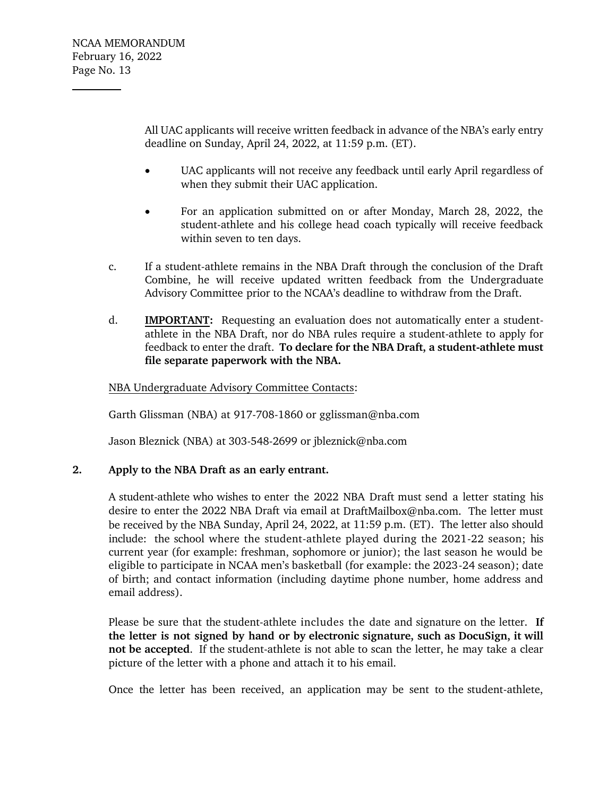All UAC applicants will receive written feedback in advance of the NBA's early entry deadline on Sunday, April 24, 2022, at 11:59 p.m. (ET).

- UAC applicants will not receive any feedback until early April regardless of when they submit their UAC application.
- For an application submitted on or after Monday, March 28, 2022, the student-athlete and his college head coach typically will receive feedback within seven to ten days.
- c. If a student-athlete remains in the NBA Draft through the conclusion of the Draft Combine, he will receive updated written feedback from the Undergraduate Advisory Committee prior to the NCAA's deadline to withdraw from the Draft.
- d. **IMPORTANT:** Requesting an evaluation does not automatically enter a studentathlete in the NBA Draft, nor do NBA rules require a student-athlete to apply for feedback to enter the draft. **To declare for the NBA Draft, a student-athlete must file separate paperwork with the NBA.**

# NBA Undergraduate Advisory Committee Contacts:

Garth Glissman (NBA) at 917-708-1860 or gglissman@nba.com

Jason Bleznick (NBA) at 303-548-2699 or jbleznick@nba.com

## **2. Apply to the NBA Draft as an early entrant.**

A student-athlete who wishes to enter the 2022 NBA Draft must send a letter stating his desire to enter the 2022 NBA Draft via email at [DraftMailbox@nba.com.](mailto:DraftMailbox@nba.com) The letter must be received by the NBA Sunday, April 24, 2022, at 11:59 p.m. (ET). The letter also should include: the school where the student-athlete played during the 2021-22 season; his current year (for example: freshman, sophomore or junior); the last season he would be eligible to participate in NCAA men's basketball (for example: the 2023-24 season); date of birth; and contact information (including daytime phone number, home address and email address).

Please be sure that the student-athlete includes the date and signature on the letter. **If the letter is not signed by hand or by electronic signature, such as DocuSign, it will not be accepted**. If the student-athlete is not able to scan the letter, he may take a clear picture of the letter with a phone and attach it to his email.

Once the letter has been received, an application may be sent to the student-athlete,